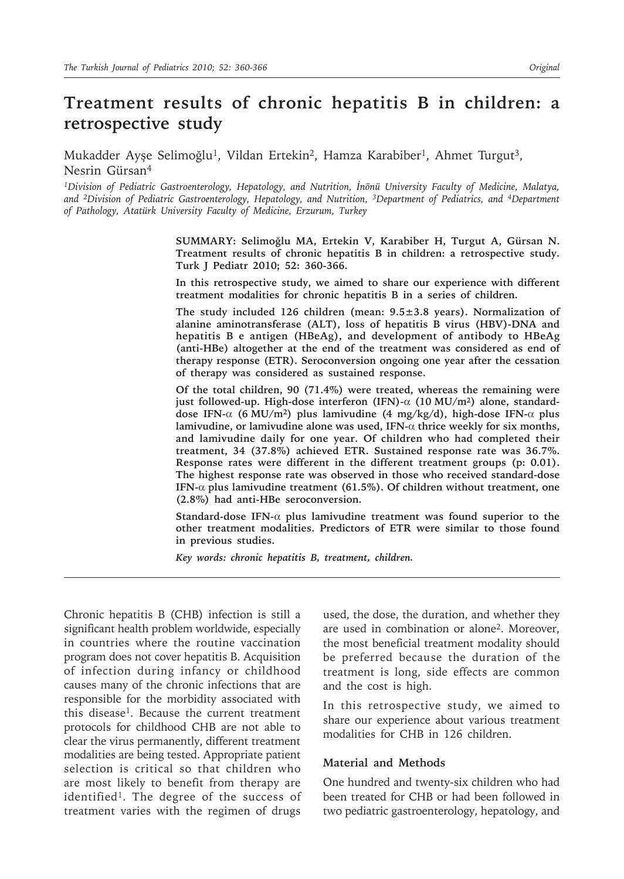# **Treatment results of chronic hepatitis B in children: a retrospective study**

Mukadder Ayşe Selimoğlu<sup>1</sup>, Vildan Ertekin<sup>2</sup>, Hamza Karabiber<sup>1</sup>, Ahmet Turgut<sup>3</sup>, Nesrin Gürsan4

*1Division of Pediatric Gastroenterology, Hepatology, and Nutrition, İnönü University Faculty of Medicine, Malatya, and 2Division of Pediatric Gastroenterology, Hepatology, and Nutrition, 3Department of Pediatrics, and 4Department of Pathology, Atatürk University Faculty of Medicine, Erzurum, Turkey*

> **SUMMARY: Selimoğlu MA, Ertekin V, Karabiber H, Turgut A, Gürsan N. Treatment results of chronic hepatitis B in children: a retrospective study. Turk J Pediatr 2010; 52: 360-366.**

> **In this retrospective study, we aimed to share our experience with different treatment modalities for chronic hepatitis B in a series of children.**

> **The study included 126 children (mean: 9.5±3.8 years). Normalization of alanine aminotransferase (ALT), loss of hepatitis B virus (HBV)-DNA and hepatitis B e antigen (HBeAg), and development of antibody to HBeAg (anti-HBe) altogether at the end of the treatment was considered as end of therapy response (ETR). Seroconversion ongoing one year after the cessation of therapy was considered as sustained response.**

> **Of the total children, 90 (71.4%) were treated, whereas the remaining were just followed-up. High-dose interferon (IFN)-**α **(10 MU/m2) alone, standarddose IFN-**α **(6 MU/m2) plus lamivudine (4 mg/kg/d), high-dose IFN-**α **plus lamivudine, or lamivudine alone was used, IFN-**α **thrice weekly for six months, and lamivudine daily for one year. Of children who had completed their treatment, 34 (37.8%) achieved ETR. Sustained response rate was 36.7%. Response rates were different in the different treatment groups (p: 0.01). The highest response rate was observed in those who received standard-dose IFN-**α **plus lamivudine treatment (61.5%). Of children without treatment, one (2.8%) had anti-HBe seroconversion.**

> **Standard-dose IFN-**α **plus lamivudine treatment was found superior to the other treatment modalities. Predictors of ETR were similar to those found in previous studies.**

*Key words: chronic hepatitis B, treatment, children.*

Chronic hepatitis B (CHB) infection is still a significant health problem worldwide, especially in countries where the routine vaccination program does not cover hepatitis B. Acquisition of infection during infancy or childhood causes many of the chronic infections that are responsible for the morbidity associated with this disease<sup>1</sup>. Because the current treatment protocols for childhood CHB are not able to clear the virus permanently, different treatment modalities are being tested. Appropriate patient selection is critical so that children who are most likely to benefit from therapy are identified<sup>1</sup>. The degree of the success of treatment varies with the regimen of drugs

used, the dose, the duration, and whether they are used in combination or alone2. Moreover, the most beneficial treatment modality should be preferred because the duration of the treatment is long, side effects are common and the cost is high.

In this retrospective study, we aimed to share our experience about various treatment modalities for CHB in 126 children.

## **Material and Methods**

One hundred and twenty-six children who had been treated for CHB or had been followed in two pediatric gastroenterology, hepatology, and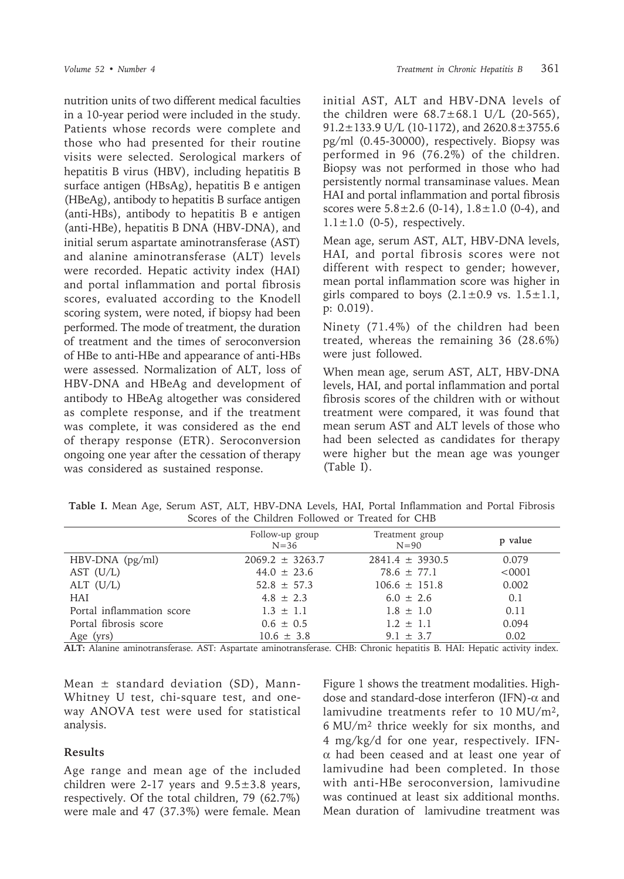nutrition units of two different medical faculties in a 10-year period were included in the study. Patients whose records were complete and those who had presented for their routine visits were selected. Serological markers of hepatitis B virus (HBV), including hepatitis B surface antigen (HBsAg), hepatitis B e antigen (HBeAg), antibody to hepatitis B surface antigen (anti-HBs), antibody to hepatitis B e antigen (anti-HBe), hepatitis B DNA (HBV-DNA), and initial serum aspartate aminotransferase (AST) and alanine aminotransferase (ALT) levels were recorded. Hepatic activity index (HAI) and portal inflammation and portal fibrosis scores, evaluated according to the Knodell scoring system, were noted, if biopsy had been performed. The mode of treatment, the duration of treatment and the times of seroconversion of HBe to anti-HBe and appearance of anti-HBs were assessed. Normalization of ALT, loss of HBV-DNA and HBeAg and development of antibody to HBeAg altogether was considered as complete response, and if the treatment was complete, it was considered as the end of therapy response (ETR). Seroconversion ongoing one year after the cessation of therapy was considered as sustained response.

initial AST, ALT and HBV-DNA levels of the children were  $68.7 \pm 68.1$  U/L (20-565), 91.2 $\pm$ 133.9 U/L (10-1172), and 2620.8 $\pm$ 3755.6 pg/ml (0.45-30000), respectively. Biopsy was performed in 96 (76.2%) of the children. Biopsy was not performed in those who had persistently normal transaminase values. Mean HAI and portal inflammation and portal fibrosis scores were  $5.8 \pm 2.6$  (0-14),  $1.8 \pm 1.0$  (0-4), and  $1.1 \pm 1.0$  (0-5), respectively.

Mean age, serum AST, ALT, HBV-DNA levels, HAI, and portal fibrosis scores were not different with respect to gender; however, mean portal inflammation score was higher in girls compared to boys  $(2.1 \pm 0.9 \text{ vs. } 1.5 \pm 1.1,$ p: 0.019).

Ninety (71.4%) of the children had been treated, whereas the remaining 36 (28.6%) were just followed.

When mean age, serum AST, ALT, HBV-DNA levels, HAI, and portal inflammation and portal fibrosis scores of the children with or without treatment were compared, it was found that mean serum AST and ALT levels of those who had been selected as candidates for therapy were higher but the mean age was younger (Table I).

|  |  |  |                                                    |  | Table I. Mean Age, Serum AST, ALT, HBV-DNA Levels, HAI, Portal Inflammation and Portal Fibrosis |  |  |
|--|--|--|----------------------------------------------------|--|-------------------------------------------------------------------------------------------------|--|--|
|  |  |  | Scores of the Children Followed or Treated for CHB |  |                                                                                                 |  |  |
|  |  |  |                                                    |  |                                                                                                 |  |  |

|                           | Follow-up group<br>$N = 36$ | Treatment group<br>$N=90$ | p value   |
|---------------------------|-----------------------------|---------------------------|-----------|
| $HBV-DNA$ (pg/ml)         | $2069.2 \pm 3263.7$         | $2841.4 \pm 3930.5$       | 0.079     |
| AST $(U/L)$               | $44.0 \pm 23.6$             | $78.6 \pm 77.1$           | < 0001    |
| ALT $(U/L)$               | $52.8 \pm 57.3$             | $106.6 \pm 151.8$         | 0.002     |
| <b>HAI</b>                | $4.8 \pm 2.3$               | $6.0 \pm 2.6$             | 0.1       |
| Portal inflammation score | $1.3 \pm 1.1$               | $1.8 \pm 1.0$             | 0.11      |
| Portal fibrosis score     | $0.6 \pm 0.5$               | $1.2 \pm 1.1$             | 0.094     |
| Age (yrs)<br>$\sim$       | $10.6 \pm 3.8$              | $9.1 \pm 3.7$             | 0.02<br>. |

**ALT:** Alanine aminotransferase. AST: Aspartate aminotransferase. CHB: Chronic hepatitis B. HAI: Hepatic activity index.

Mean  $\pm$  standard deviation (SD), Mann-Whitney U test, chi-square test, and oneway ANOVA test were used for statistical analysis.

#### **Results**

Age range and mean age of the included children were 2-17 years and  $9.5 \pm 3.8$  years, respectively. Of the total children, 79 (62.7%) were male and 47 (37.3%) were female. Mean

Figure 1 shows the treatment modalities. Highdose and standard-dose interferon (IFN)-α and lamivudine treatments refer to 10 MU/m2, 6 MU/m2 thrice weekly for six months, and 4 mg/kg/d for one year, respectively. IFNα had been ceased and at least one year of lamivudine had been completed. In those with anti-HBe seroconversion, lamivudine was continued at least six additional months. Mean duration of lamivudine treatment was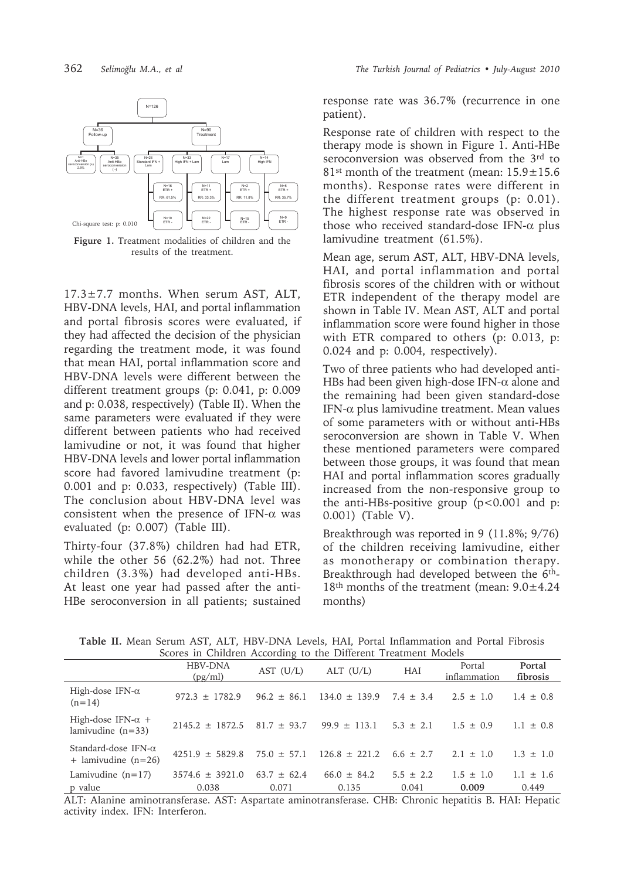

**Figure 1.** Treatment modalities of children and the results of the treatment.

 $17.3 \pm 7.7$  months. When serum AST, ALT, HBV-DNA levels, HAI, and portal inflammation and portal fibrosis scores were evaluated, if they had affected the decision of the physician regarding the treatment mode, it was found that mean HAI, portal inflammation score and HBV-DNA levels were different between the different treatment groups (p: 0.041, p: 0.009 and p: 0.038, respectively) (Table II). When the same parameters were evaluated if they were different between patients who had received lamivudine or not, it was found that higher HBV-DNA levels and lower portal inflammation score had favored lamivudine treatment (p: 0.001 and p: 0.033, respectively) (Table III). The conclusion about HBV-DNA level was consistent when the presence of IFN-α was evaluated (p: 0.007) (Table III).

Thirty-four (37.8%) children had had ETR, while the other 56 (62.2%) had not. Three children (3.3%) had developed anti-HBs. At least one year had passed after the anti-HBe seroconversion in all patients; sustained response rate was 36.7% (recurrence in one patient).

Response rate of children with respect to the therapy mode is shown in Figure 1. Anti-HBe seroconversion was observed from the 3<sup>rd</sup> to 81st month of the treatment (mean: 15.9±15.6 months). Response rates were different in the different treatment groups (p: 0.01). The highest response rate was observed in those who received standard-dose IFN- $\alpha$  plus lamivudine treatment (61.5%).

Mean age, serum AST, ALT, HBV-DNA levels, HAI, and portal inflammation and portal fibrosis scores of the children with or without ETR independent of the therapy model are shown in Table IV. Mean AST, ALT and portal inflammation score were found higher in those with ETR compared to others (p: 0.013, p: 0.024 and p: 0.004, respectively).

Two of three patients who had developed anti-HBs had been given high-dose IFN- $\alpha$  alone and the remaining had been given standard-dose IFN-α plus lamivudine treatment. Mean values of some parameters with or without anti-HBs seroconversion are shown in Table V. When these mentioned parameters were compared between those groups, it was found that mean HAI and portal inflammation scores gradually increased from the non-responsive group to the anti-HBs-positive group  $(p<0.001$  and p: 0.001) (Table V).

Breakthrough was reported in 9 (11.8%; 9/76) of the children receiving lamivudine, either as monotherapy or combination therapy. Breakthrough had developed between the  $6<sup>th</sup>$ -18th months of the treatment (mean: 9.0±4.24 months)

|                                                      | HBV-DNA<br>(pg/ml)  | AST $(U/L)$     | ALT $(U/L)$                     | HAI           | Portal<br>inflammation | Portal<br>fibrosis |
|------------------------------------------------------|---------------------|-----------------|---------------------------------|---------------|------------------------|--------------------|
| High-dose IFN- $\alpha$<br>$(n=14)$                  | $972.3 \pm 1782.9$  | $96.2 \pm 86.1$ | $134.0 \pm 139.9$ 7.4 $\pm$ 3.4 |               | $2.5 \pm 1.0$          | $1.4 \pm 0.8$      |
| High-dose IFN- $\alpha$ +<br>lamivudine $(n=33)$     | $2145.2 \pm 1872.5$ | $81.7 \pm 93.7$ | $99.9 \pm 113.1$                | $5.3 \pm 2.1$ | $1.5 \pm 0.9$          | $1.1 \pm 0.8$      |
| Standard-dose IFN- $\alpha$<br>$+$ lamivudine (n=26) | $4251.9 \pm 5829.8$ | $75.0 \pm 57.1$ | $126.8 \pm 221.2$               | $6.6 \pm 2.7$ | $2.1 \pm 1.0$          | $1.3 \pm 1.0$      |
| Lamivudine $(n=17)$                                  | $3574.6 \pm 3921.0$ | $63.7 \pm 62.4$ | $66.0 \pm 84.2$                 | $5.5 \pm 2.2$ | $1.5 \pm 1.0$          | $1.1 \pm 1.6$      |
| p value                                              | 0.038               | 0.071           | 0.135                           | 0.041         | 0.009                  | 0.449              |

**Table II.** Mean Serum AST, ALT, HBV-DNA Levels, HAI, Portal Inflammation and Portal Fibrosis Scores in Children According to the Different Treatment Models

ALT: Alanine aminotransferase. AST: Aspartate aminotransferase. CHB: Chronic hepatitis B. HAI: Hepatic activity index. IFN: Interferon.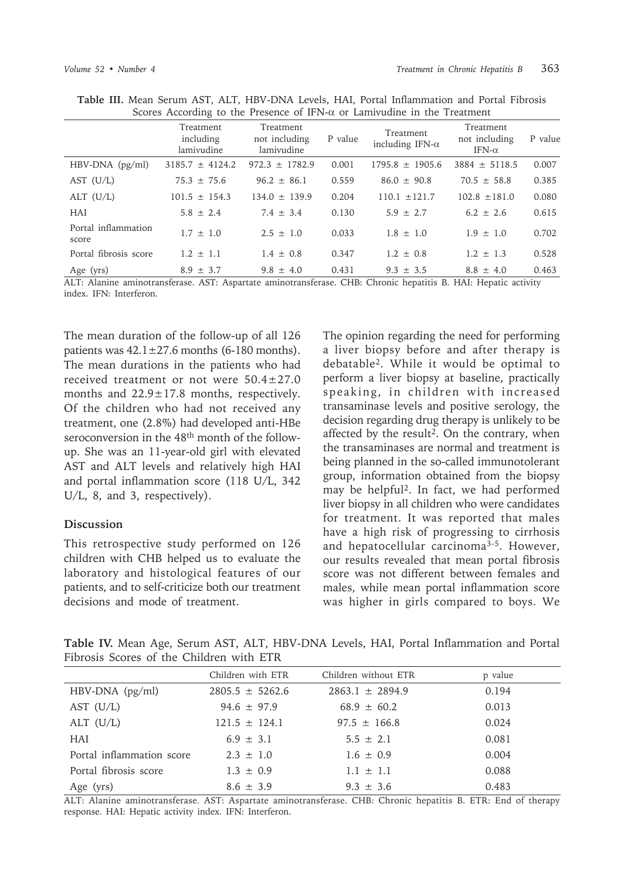|                              | Treatment<br>including<br>lamivudine | Treatment<br>not including<br>lamivudine | P value | Treatment<br>including IFN- $\alpha$ | Treatment<br>not including<br>IFN- $\alpha$ | P value |
|------------------------------|--------------------------------------|------------------------------------------|---------|--------------------------------------|---------------------------------------------|---------|
| $HBV-DNA$ ( $pg/ml$ )        | $3185.7 \pm 4124.2$                  | $972.3 \pm 1782.9$                       | 0.001   | $1795.8 \pm 1905.6$                  | $3884 \pm 5118.5$                           | 0.007   |
| AST $(U/L)$                  | $75.3 \pm 75.6$                      | $96.2 \pm 86.1$                          | 0.559   | $86.0 \pm 90.8$                      | $70.5 \pm 58.8$                             | 0.385   |
| ALT $(U/L)$                  | $101.5 \pm 154.3$                    | $134.0 \pm 139.9$                        | 0.204   | $110.1 \pm 121.7$                    | $102.8 \pm 181.0$                           | 0.080   |
| HAI                          | $5.8 \pm 2.4$                        | $7.4 \pm 3.4$                            | 0.130   | $5.9 \pm 2.7$                        | $6.2 \pm 2.6$                               | 0.615   |
| Portal inflammation<br>score | $1.7 \pm 1.0$                        | $2.5 \pm 1.0$                            | 0.033   | $1.8 \pm 1.0$                        | $1.9 \pm 1.0$                               | 0.702   |
| Portal fibrosis score        | $1.2 \pm 1.1$                        | $1.4 \pm 0.8$                            | 0.347   | $1.2 \pm 0.8$                        | $1.2 \pm 1.3$                               | 0.528   |
| Age (yrs)                    | $8.9 \pm 3.7$                        | $9.8 \pm 4.0$                            | 0.431   | $9.3 \pm 3.5$                        | $8.8 \pm 4.0$                               | 0.463   |

**Table III.** Mean Serum AST, ALT, HBV-DNA Levels, HAI, Portal Inflammation and Portal Fibrosis Scores According to the Presence of IFN- $\alpha$  or Lamivudine in the Treatment

ALT: Alanine aminotransferase. AST: Aspartate aminotransferase. CHB: Chronic hepatitis B. HAI: Hepatic activity index. IFN: Interferon.

The mean duration of the follow-up of all 126 patients was  $42.1 \pm 27.6$  months (6-180 months). The mean durations in the patients who had received treatment or not were 50.4±27.0 months and 22.9±17.8 months, respectively. Of the children who had not received any treatment, one (2.8%) had developed anti-HBe seroconversion in the 48<sup>th</sup> month of the followup. She was an 11-year-old girl with elevated AST and ALT levels and relatively high HAI and portal inflammation score (118 U/L, 342 U/L, 8, and 3, respectively).

## **Discussion**

This retrospective study performed on 126 children with CHB helped us to evaluate the laboratory and histological features of our patients, and to self-criticize both our treatment decisions and mode of treatment.

The opinion regarding the need for performing a liver biopsy before and after therapy is debatable2. While it would be optimal to perform a liver biopsy at baseline, practically speaking, in children with increased transaminase levels and positive serology, the decision regarding drug therapy is unlikely to be affected by the result<sup>2</sup>. On the contrary, when the transaminases are normal and treatment is being planned in the so-called immunotolerant group, information obtained from the biopsy may be helpful2. In fact, we had performed liver biopsy in all children who were candidates for treatment. It was reported that males have a high risk of progressing to cirrhosis and hepatocellular carcinoma3-5. However, our results revealed that mean portal fibrosis score was not different between females and males, while mean portal inflammation score was higher in girls compared to boys. We

**Table IV.** Mean Age, Serum AST, ALT, HBV-DNA Levels, HAI, Portal Inflammation and Portal Fibrosis Scores of the Children with ETR

|                           | Children with ETR   | Children without ETR | p value |
|---------------------------|---------------------|----------------------|---------|
| $HBV-DNA$ (pg/ml)         | $2805.5 \pm 5262.6$ | $2863.1 \pm 2894.9$  | 0.194   |
| AST $(U/L)$               | $94.6 \pm 97.9$     | $68.9 \pm 60.2$      | 0.013   |
| ALT $(U/L)$               | $121.5 \pm 124.1$   | $97.5 \pm 166.8$     | 0.024   |
| HAI                       | $6.9 \pm 3.1$       | $5.5 \pm 2.1$        | 0.081   |
| Portal inflammation score | $2.3 \pm 1.0$       | $1.6 \pm 0.9$        | 0.004   |
| Portal fibrosis score     | $1.3 \pm 0.9$       | $1.1 \pm 1.1$        | 0.088   |
| Age (yrs)                 | $8.6 \pm 3.9$       | $9.3 \pm 3.6$        | 0.483   |

ALT: Alanine aminotransferase. AST: Aspartate aminotransferase. CHB: Chronic hepatitis B. ETR: End of therapy response. HAI: Hepatic activity index. IFN: Interferon.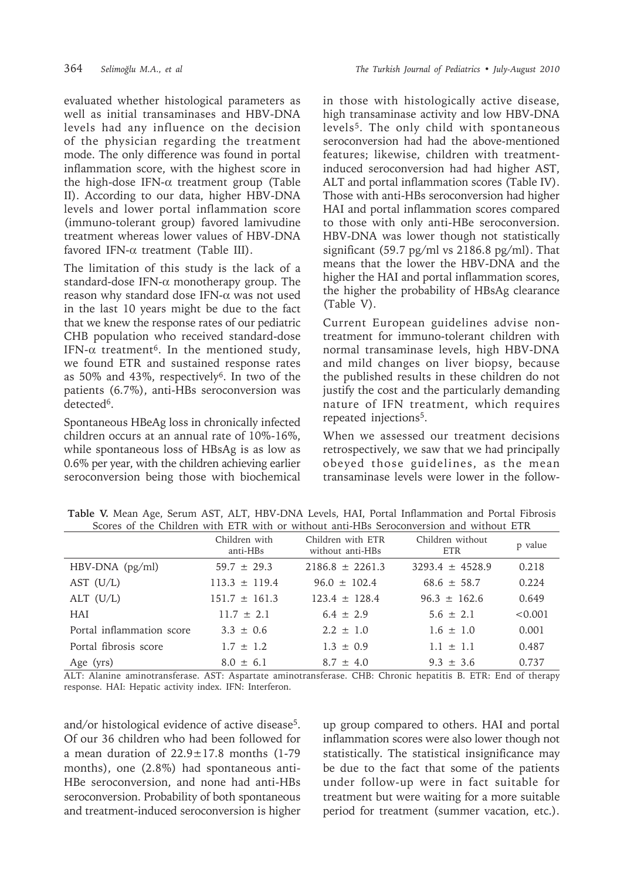evaluated whether histological parameters as well as initial transaminases and HBV-DNA levels had any influence on the decision of the physician regarding the treatment mode. The only difference was found in portal inflammation score, with the highest score in the high-dose IFN-α treatment group (Table II). According to our data, higher HBV-DNA levels and lower portal inflammation score (immuno-tolerant group) favored lamivudine treatment whereas lower values of HBV-DNA favored IFN-α treatment (Table III).

The limitation of this study is the lack of a standard-dose IFN-α monotherapy group. The reason why standard dose IFN-α was not used in the last 10 years might be due to the fact that we knew the response rates of our pediatric CHB population who received standard-dose IFN- $\alpha$  treatment<sup>6</sup>. In the mentioned study, we found ETR and sustained response rates as 50% and 43%, respectively<sup>6</sup>. In two of the patients (6.7%), anti-HBs seroconversion was detected<sup>6</sup>.

Spontaneous HBeAg loss in chronically infected children occurs at an annual rate of 10%-16%, while spontaneous loss of HBsAg is as low as 0.6% per year, with the children achieving earlier seroconversion being those with biochemical in those with histologically active disease, high transaminase activity and low HBV-DNA levels5. The only child with spontaneous seroconversion had had the above-mentioned features; likewise, children with treatmentinduced seroconversion had had higher AST, ALT and portal inflammation scores (Table IV). Those with anti-HBs seroconversion had higher HAI and portal inflammation scores compared to those with only anti-HBe seroconversion. HBV-DNA was lower though not statistically significant (59.7 pg/ml vs 2186.8 pg/ml). That means that the lower the HBV-DNA and the higher the HAI and portal inflammation scores, the higher the probability of HBsAg clearance (Table V).

Current European guidelines advise nontreatment for immuno-tolerant children with normal transaminase levels, high HBV-DNA and mild changes on liver biopsy, because the published results in these children do not justify the cost and the particularly demanding nature of IFN treatment, which requires repeated injections<sup>5</sup>.

When we assessed our treatment decisions retrospectively, we saw that we had principally obeyed those guidelines, as the mean transaminase levels were lower in the follow-

|                           | Children with<br>anti-HBs | Devlet of the Chinalen mult bill mult of multout and flot befocultedition and multiple bill<br>Children with ETR<br>without anti-HBs | Children without<br><b>ETR</b> | p value |
|---------------------------|---------------------------|--------------------------------------------------------------------------------------------------------------------------------------|--------------------------------|---------|
| $HBV-DNA$ (pg/ml)         | $59.7 \pm 29.3$           | $2186.8 \pm 2261.3$                                                                                                                  | $3293.4 \pm 4528.9$            | 0.218   |
| AST $(U/L)$               | $113.3 \pm 119.4$         | $96.0 \pm 102.4$                                                                                                                     | $68.6 \pm 58.7$                | 0.224   |
| ALT $(U/L)$               | $151.7 \pm 161.3$         | $123.4 \pm 128.4$                                                                                                                    | $96.3 \pm 162.6$               | 0.649   |
| <b>HAI</b>                | $11.7 \pm 2.1$            | $6.4 \pm 2.9$                                                                                                                        | $5.6 \pm 2.1$                  | < 0.001 |
| Portal inflammation score | $3.3 \pm 0.6$             | $2.2 \pm 1.0$                                                                                                                        | $1.6 \pm 1.0$                  | 0.001   |
| Portal fibrosis score     | $1.7 \pm 1.2$             | $1.3 \pm 0.9$                                                                                                                        | $1.1 \pm 1.1$                  | 0.487   |
| Age (yrs)                 | $8.0 \pm 6.1$             | $8.7 \pm 4.0$                                                                                                                        | $9.3 \pm 3.6$                  | 0.737   |

**Table V.** Mean Age, Serum AST, ALT, HBV-DNA Levels, HAI, Portal Inflammation and Portal Fibrosis Scores of the Children with ETR with or without anti-HBs Seroconversion and without ETR

ALT: Alanine aminotransferase. AST: Aspartate aminotransferase. CHB: Chronic hepatitis B. ETR: End of therapy response. HAI: Hepatic activity index. IFN: Interferon.

and/or histological evidence of active disease<sup>5</sup>. Of our 36 children who had been followed for a mean duration of  $22.9 \pm 17.8$  months (1-79) months), one (2.8%) had spontaneous anti-HBe seroconversion, and none had anti-HBs seroconversion. Probability of both spontaneous and treatment-induced seroconversion is higher

up group compared to others. HAI and portal inflammation scores were also lower though not statistically. The statistical insignificance may be due to the fact that some of the patients under follow-up were in fact suitable for treatment but were waiting for a more suitable period for treatment (summer vacation, etc.).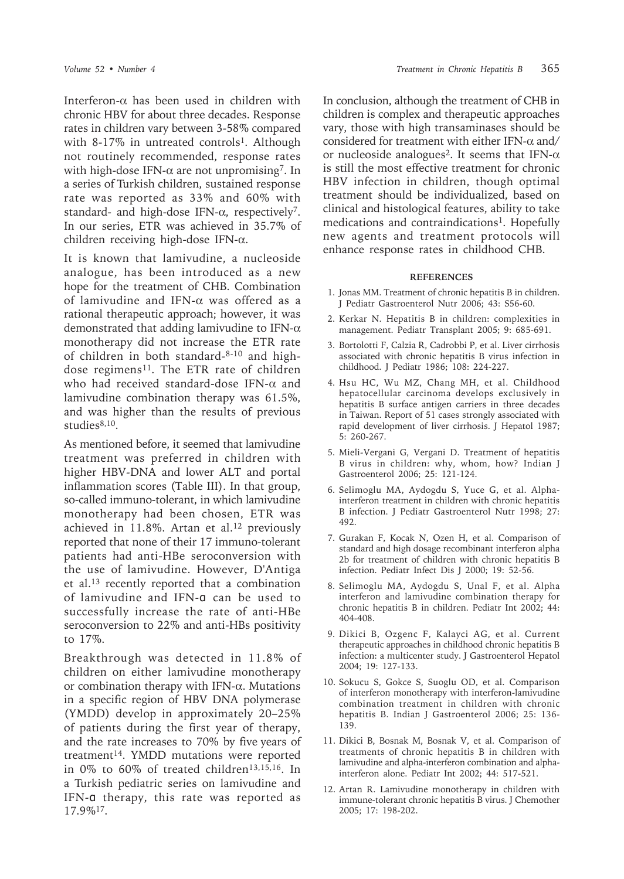Interferon-α has been used in children with chronic HBV for about three decades. Response rates in children vary between 3-58% compared with 8-17% in untreated controls<sup>1</sup>. Although not routinely recommended, response rates with high-dose IFN- $\alpha$  are not unpromising<sup>7</sup>. In a series of Turkish children, sustained response rate was reported as 33% and 60% with standard- and high-dose IFN-α, respectively7. In our series, ETR was achieved in 35.7% of children receiving high-dose IFN-α.

It is known that lamivudine, a nucleoside analogue, has been introduced as a new hope for the treatment of CHB. Combination of lamivudine and IFN-α was offered as a rational therapeutic approach; however, it was demonstrated that adding lamivudine to IFN-α monotherapy did not increase the ETR rate of children in both standard-8-10 and highdose regimens<sup>11</sup>. The ETR rate of children who had received standard-dose IFN-α and lamivudine combination therapy was 61.5%, and was higher than the results of previous  $studies<sup>8,10</sup>$ .

As mentioned before, it seemed that lamivudine treatment was preferred in children with higher HBV-DNA and lower ALT and portal inflammation scores (Table III). In that group, so-called immuno-tolerant, in which lamivudine monotherapy had been chosen, ETR was achieved in 11.8%. Artan et al.<sup>12</sup> previously reported that none of their 17 immuno-tolerant patients had anti-HBe seroconversion with the use of lamivudine. However, D'Antiga et al.13 recently reported that a combination of lamivudine and IFN-α can be used to successfully increase the rate of anti-HBe seroconversion to 22% and anti-HBs positivity to 17%.

Breakthrough was detected in 11.8% of children on either lamivudine monotherapy or combination therapy with IFN-α. Mutations in a specific region of HBV DNA polymerase (YMDD) develop in approximately 20–25% of patients during the first year of therapy, and the rate increases to 70% by five years of treatment14. YMDD mutations were reported in 0% to 60% of treated children<sup>13,15,16</sup>. In a Turkish pediatric series on lamivudine and IFN-α therapy, this rate was reported as 17.9%17.

In conclusion, although the treatment of CHB in children is complex and therapeutic approaches vary, those with high transaminases should be considered for treatment with either IFN-α and/ or nucleoside analogues<sup>2</sup>. It seems that IFN- $\alpha$ is still the most effective treatment for chronic HBV infection in children, though optimal treatment should be individualized, based on clinical and histological features, ability to take medications and contraindications<sup>1</sup>. Hopefully new agents and treatment protocols will enhance response rates in childhood CHB.

#### **REFERENCES**

- 1. Jonas MM. Treatment of chronic hepatitis B in children. J Pediatr Gastroenterol Nutr 2006; 43: S56-60.
- 2. Kerkar N. Hepatitis B in children: complexities in management. Pediatr Transplant 2005; 9: 685-691.
- 3. Bortolotti F, Calzia R, Cadrobbi P, et al. Liver cirrhosis associated with chronic hepatitis B virus infection in childhood. J Pediatr 1986; 108: 224-227.
- 4. Hsu HC, Wu MZ, Chang MH, et al. Childhood hepatocellular carcinoma develops exclusively in hepatitis B surface antigen carriers in three decades in Taiwan. Report of 51 cases strongly associated with rapid development of liver cirrhosis. J Hepatol 1987; 5: 260-267.
- 5. Mieli-Vergani G, Vergani D. Treatment of hepatitis B virus in children: why, whom, how? Indian J Gastroenterol 2006; 25: 121-124.
- 6. Selimoglu MA, Aydogdu S, Yuce G, et al. Alphainterferon treatment in children with chronic hepatitis B infection. J Pediatr Gastroenterol Nutr 1998; 27: 492.
- 7. Gurakan F, Kocak N, Ozen H, et al. Comparison of standard and high dosage recombinant interferon alpha 2b for treatment of children with chronic hepatitis B infection. Pediatr Infect Dis J 2000; 19: 52-56.
- 8. Selimoglu MA, Aydogdu S, Unal F, et al. Alpha interferon and lamivudine combination therapy for chronic hepatitis B in children. Pediatr Int 2002; 44: 404-408.
- 9. Dikici B, Ozgenc F, Kalayci AG, et al. Current therapeutic approaches in childhood chronic hepatitis B infection: a multicenter study. J Gastroenterol Hepatol 2004; 19: 127-133.
- 10. Sokucu S, Gokce S, Suoglu OD, et al. Comparison of interferon monotherapy with interferon-lamivudine combination treatment in children with chronic hepatitis B. Indian J Gastroenterol 2006; 25: 136- 139.
- 11. Dikici B, Bosnak M, Bosnak V, et al. Comparison of treatments of chronic hepatitis B in children with lamivudine and alpha-interferon combination and alphainterferon alone. Pediatr Int 2002; 44: 517-521.
- 12. Artan R. Lamivudine monotherapy in children with immune-tolerant chronic hepatitis B virus. J Chemother 2005; 17: 198-202.